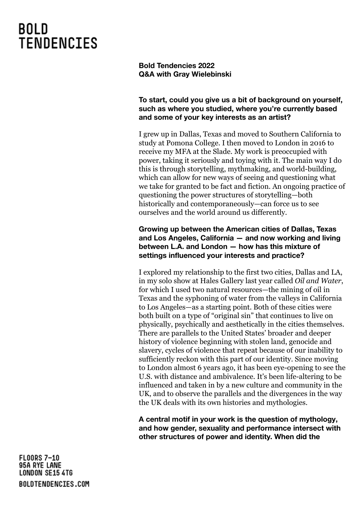**Bold Tendencies 2022 Q&A with Gray Wielebinski**

## **To start, could you give us a bit of background on yourself, such as where you studied, where you're currently based and some of your key interests as an artist?**

I grew up in Dallas, Texas and moved to Southern California to study at Pomona College. I then moved to London in 2016 to receive my MFA at the Slade. My work is preoccupied with power, taking it seriously and toying with it. The main way I do this is through storytelling, mythmaking, and world-building, which can allow for new ways of seeing and questioning what we take for granted to be fact and fiction. An ongoing practice of questioning the power structures of storytelling—both historically and contemporaneously—can force us to see ourselves and the world around us differently.

### **Growing up between the American cities of Dallas, Texas and Los Angeles, California — and now working and living between L.A. and London — how has this mixture of settings influenced your interests and practice?**

I explored my relationship to the first two cities, Dallas and LA, in my solo show at Hales Gallery last year called *Oil and Water*, for which I used two natural resources—the mining of oil in Texas and the syphoning of water from the valleys in California to Los Angeles—as a starting point. Both of these cities were both built on a type of "original sin" that continues to live on physically, psychically and aesthetically in the cities themselves. There are parallels to the United States' broader and deeper history of violence beginning with stolen land, genocide and slavery, cycles of violence that repeat because of our inability to sufficiently reckon with this part of our identity. Since moving to London almost 6 years ago, it has been eye-opening to see the U.S. with distance and ambivalence. It's been life-altering to be influenced and taken in by a new culture and community in the UK, and to observe the parallels and the divergences in the way the UK deals with its own histories and mythologies.

**A central motif in your work is the question of mythology, and how gender, sexuality and performance intersect with other structures of power and identity. When did the**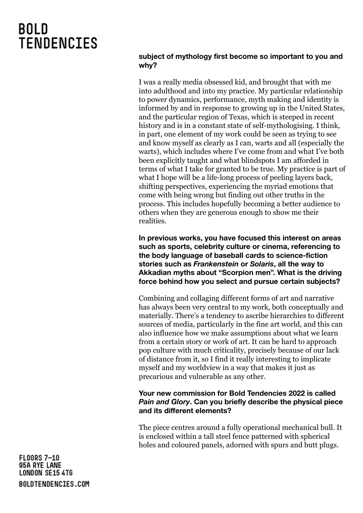### **subject of mythology first become so important to you and why?**

I was a really media obsessed kid, and brought that with me into adulthood and into my practice. My particular relationship to power dynamics, performance, myth making and identity is informed by and in response to growing up in the United States, and the particular region of Texas, which is steeped in recent history and is in a constant state of self-mythologising. I think, in part, one element of my work could be seen as trying to see and know myself as clearly as I can, warts and all (especially the warts), which includes where I've come from and what I've both been explicitly taught and what blindspots I am afforded in terms of what I take for granted to be true. My practice is part of what I hope will be a life-long process of peeling layers back, shifting perspectives, experiencing the myriad emotions that come with being wrong but finding out other truths in the process. This includes hopefully becoming a better audience to others when they are generous enough to show me their realities.

**In previous works, you have focused this interest on areas such as sports, celebrity culture or cinema, referencing to the body language of baseball cards to science-fiction stories such as** *Frankenstein* **or** *Solaris***, all the way to Akkadian myths about "Scorpion men". What is the driving force behind how you select and pursue certain subjects?**

Combining and collaging different forms of art and narrative has always been very central to my work, both conceptually and materially. There's a tendency to ascribe hierarchies to different sources of media, particularly in the fine art world, and this can also influence how we make assumptions about what we learn from a certain story or work of art. It can be hard to approach pop culture with much criticality, precisely because of our lack of distance from it, so I find it really interesting to implicate myself and my worldview in a way that makes it just as precarious and vulnerable as any other.

## **Your new commission for Bold Tendencies 2022 is called** *Pain and Glory***. Can you briefly describe the physical piece and its different elements?**

The piece centres around a fully operational mechanical bull. It is enclosed within a tall steel fence patterned with spherical holes and coloured panels, adorned with spurs and butt plugs.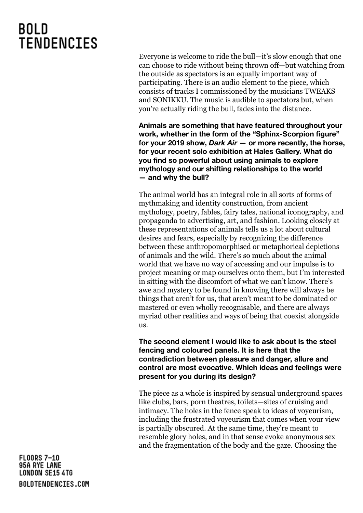Everyone is welcome to ride the bull—it's slow enough that one can choose to ride without being thrown off—but watching from the outside as spectators is an equally important way of participating. There is an audio element to the piece, which consists of tracks I commissioned by the musicians TWEAKS and SONIKKU. The music is audible to spectators but, when you're actually riding the bull, fades into the distance.

**Animals are something that have featured throughout your work, whether in the form of the "Sphinx-Scorpion figure" for your 2019 show,** *Dark Air* **— or more recently, the horse, for your recent solo exhibition at Hales Gallery. What do you find so powerful about using animals to explore mythology and our shifting relationships to the world — and why the bull?**

The animal world has an integral role in all sorts of forms of mythmaking and identity construction, from ancient mythology, poetry, fables, fairy tales, national iconography, and propaganda to advertising, art, and fashion. Looking closely at these representations of animals tells us a lot about cultural desires and fears, especially by recognizing the difference between these anthropomorphised or metaphorical depictions of animals and the wild. There's so much about the animal world that we have no way of accessing and our impulse is to project meaning or map ourselves onto them, but I'm interested in sitting with the discomfort of what we can't know. There's awe and mystery to be found in knowing there will always be things that aren't for us, that aren't meant to be dominated or mastered or even wholly recognisable, and there are always myriad other realities and ways of being that coexist alongside us.

**The second element I would like to ask about is the steel fencing and coloured panels. It is here that the contradiction between pleasure and danger, allure and control are most evocative. Which ideas and feelings were present for you during its design?**

The piece as a whole is inspired by sensual underground spaces like clubs, bars, porn theatres, toilets—sites of cruising and intimacy. The holes in the fence speak to ideas of voyeurism, including the frustrated voyeurism that comes when your view is partially obscured. At the same time, they're meant to resemble glory holes, and in that sense evoke anonymous sex and the fragmentation of the body and the gaze. Choosing the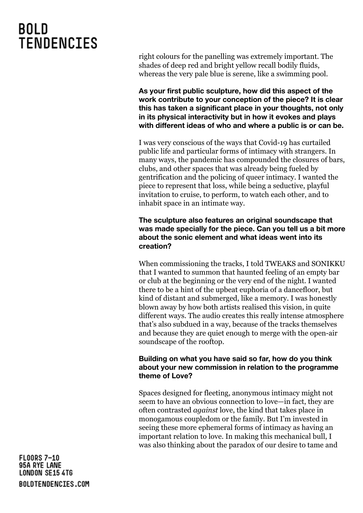right colours for the panelling was extremely important. The shades of deep red and bright yellow recall bodily fluids, whereas the very pale blue is serene, like a swimming pool.

**As your first public sculpture, how did this aspect of the work contribute to your conception of the piece? It is clear this has taken a significant place in your thoughts, not only in its physical interactivity but in how it evokes and plays with different ideas of who and where a public is or can be.**

I was very conscious of the ways that Covid-19 has curtailed public life and particular forms of intimacy with strangers. In many ways, the pandemic has compounded the closures of bars, clubs, and other spaces that was already being fueled by gentrification and the policing of queer intimacy. I wanted the piece to represent that loss, while being a seductive, playful invitation to cruise, to perform, to watch each other, and to inhabit space in an intimate way.

### **The sculpture also features an original soundscape that was made specially for the piece. Can you tell us a bit more about the sonic element and what ideas went into its creation?**

When commissioning the tracks, I told TWEAKS and SONIKKU that I wanted to summon that haunted feeling of an empty bar or club at the beginning or the very end of the night. I wanted there to be a hint of the upbeat euphoria of a dancefloor, but kind of distant and submerged, like a memory. I was honestly blown away by how both artists realised this vision, in quite different ways. The audio creates this really intense atmosphere that's also subdued in a way, because of the tracks themselves and because they are quiet enough to merge with the open-air soundscape of the rooftop.

### **Building on what you have said so far, how do you think about your new commission in relation to the programme theme of Love?**

Spaces designed for fleeting, anonymous intimacy might not seem to have an obvious connection to love—in fact, they are often contrasted *against* love, the kind that takes place in monogamous coupledom or the family. But I'm invested in seeing these more ephemeral forms of intimacy as having an important relation to love. In making this mechanical bull, I was also thinking about the paradox of our desire to tame and